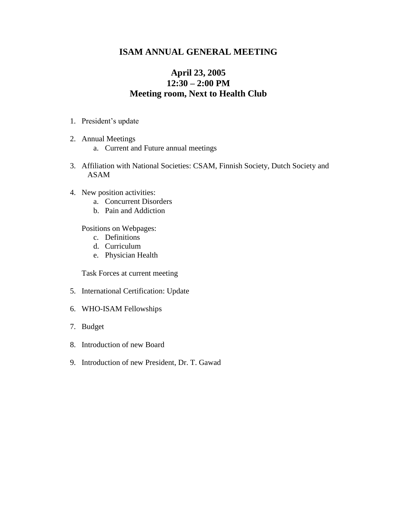## **ISAM ANNUAL GENERAL MEETING**

## **April 23, 2005 12:30 – 2:00 PM Meeting room, Next to Health Club**

- 1. President's update
- 2. Annual Meetings
	- a. Current and Future annual meetings
- 3. Affiliation with National Societies: CSAM, Finnish Society, Dutch Society and ASAM
- 4. New position activities:
	- a. Concurrent Disorders
	- b. Pain and Addiction

Positions on Webpages:

- c. Definitions
- d. Curriculum
- e. Physician Health

Task Forces at current meeting

- 5. International Certification: Update
- 6. WHO-ISAM Fellowships
- 7. Budget
- 8. Introduction of new Board
- 9. Introduction of new President, Dr. T. Gawad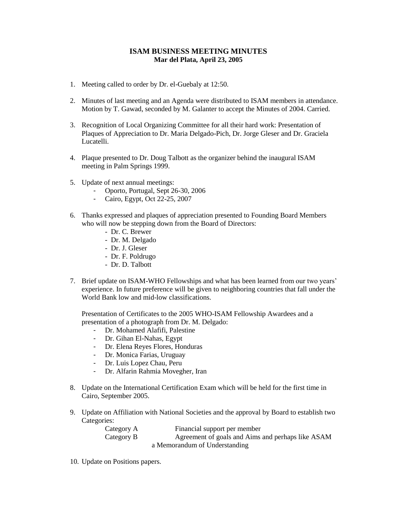## **ISAM BUSINESS MEETING MINUTES Mar del Plata, April 23, 2005**

- 1. Meeting called to order by Dr. el-Guebaly at 12:50.
- 2. Minutes of last meeting and an Agenda were distributed to ISAM members in attendance. Motion by T. Gawad, seconded by M. Galanter to accept the Minutes of 2004. Carried.
- 3. Recognition of Local Organizing Committee for all their hard work: Presentation of Plaques of Appreciation to Dr. Maria Delgado-Pich, Dr. Jorge Gleser and Dr. Graciela Lucatelli.
- 4. Plaque presented to Dr. Doug Talbott as the organizer behind the inaugural ISAM meeting in Palm Springs 1999.
- 5. Update of next annual meetings:
	- Oporto, Portugal, Sept 26-30, 2006
	- Cairo, Egypt, Oct 22-25, 2007
- 6. Thanks expressed and plaques of appreciation presented to Founding Board Members who will now be stepping down from the Board of Directors:
	- Dr. C. Brewer
	- Dr. M. Delgado
	- Dr. J. Gleser
	- Dr. F. Poldrugo
	- Dr. D. Talbott
- 7. Brief update on ISAM-WHO Fellowships and what has been learned from our two years' experience. In future preference will be given to neighboring countries that fall under the World Bank low and mid-low classifications.

Presentation of Certificates to the 2005 WHO-ISAM Fellowship Awardees and a presentation of a photograph from Dr. M. Delgado:

- Dr. Mohamed Alafifi, Palestine
- Dr. Gihan El-Nahas, Egypt
- Dr. Elena Reyes Flores, Honduras
- Dr. Monica Farias, Uruguay
- Dr. Luis Lopez Chau, Peru
- Dr. Alfarin Rahmia Movegher, Iran
- 8. Update on the International Certification Exam which will be held for the first time in Cairo, September 2005.
- 9. Update on Affiliation with National Societies and the approval by Board to establish two Categories:

| Category A | Financial support per member                      |
|------------|---------------------------------------------------|
| Category B | Agreement of goals and Aims and perhaps like ASAM |
|            | a Memorandum of Understanding                     |

10. Update on Positions papers.